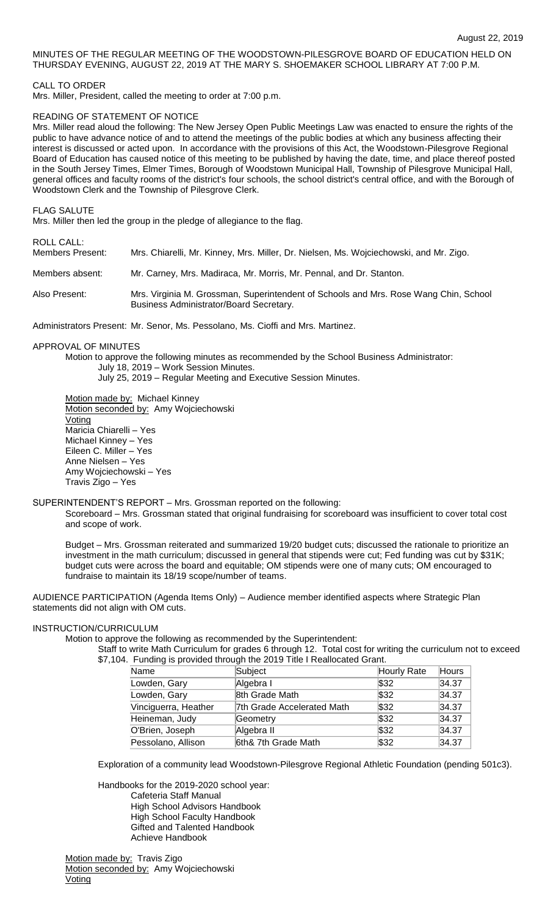# MINUTES OF THE REGULAR MEETING OF THE WOODSTOWN-PILESGROVE BOARD OF EDUCATION HELD ON THURSDAY EVENING, AUGUST 22, 2019 AT THE MARY S. SHOEMAKER SCHOOL LIBRARY AT 7:00 P.M.

CALL TO ORDER

Mrs. Miller, President, called the meeting to order at 7:00 p.m.

## READING OF STATEMENT OF NOTICE

Mrs. Miller read aloud the following: The New Jersey Open Public Meetings Law was enacted to ensure the rights of the public to have advance notice of and to attend the meetings of the public bodies at which any business affecting their interest is discussed or acted upon. In accordance with the provisions of this Act, the Woodstown-Pilesgrove Regional Board of Education has caused notice of this meeting to be published by having the date, time, and place thereof posted in the South Jersey Times, Elmer Times, Borough of Woodstown Municipal Hall, Township of Pilesgrove Municipal Hall, general offices and faculty rooms of the district's four schools, the school district's central office, and with the Borough of Woodstown Clerk and the Township of Pilesgrove Clerk.

FLAG SALUTE

Mrs. Miller then led the group in the pledge of allegiance to the flag.

ROLL CALL:

| Members Present: | Mrs. Chiarelli, Mr. Kinney, Mrs. Miller, Dr. Nielsen, Ms. Wojciechowski, and Mr. Zigo. |
|------------------|----------------------------------------------------------------------------------------|
| Members absent:  | Mr. Carney, Mrs. Madiraca, Mr. Morris, Mr. Pennal, and Dr. Stanton.                    |

Also Present: Mrs. Virginia M. Grossman, Superintendent of Schools and Mrs. Rose Wang Chin, School Business Administrator/Board Secretary.

Administrators Present: Mr. Senor, Ms. Pessolano, Ms. Cioffi and Mrs. Martinez.

#### APPROVAL OF MINUTES

Motion to approve the following minutes as recommended by the School Business Administrator: July 18, 2019 – Work Session Minutes. July 25, 2019 – Regular Meeting and Executive Session Minutes.

Motion made by: Michael Kinney

Motion seconded by: Amy Wojciechowski **Voting** Maricia Chiarelli – Yes Michael Kinney – Yes Eileen C. Miller – Yes Anne Nielsen – Yes Amy Wojciechowski – Yes Travis Zigo – Yes

# SUPERINTENDENT'S REPORT – Mrs. Grossman reported on the following:

Scoreboard – Mrs. Grossman stated that original fundraising for scoreboard was insufficient to cover total cost and scope of work.

Budget – Mrs. Grossman reiterated and summarized 19/20 budget cuts; discussed the rationale to prioritize an investment in the math curriculum; discussed in general that stipends were cut; Fed funding was cut by \$31K; budget cuts were across the board and equitable; OM stipends were one of many cuts; OM encouraged to fundraise to maintain its 18/19 scope/number of teams.

AUDIENCE PARTICIPATION (Agenda Items Only) – Audience member identified aspects where Strategic Plan statements did not align with OM cuts.

### INSTRUCTION/CURRICULUM

Motion to approve the following as recommended by the Superintendent:

Staff to write Math Curriculum for grades 6 through 12. Total cost for writing the curriculum not to exceed \$7,104. Funding is provided through the 2019 Title I Reallocated Grant.

| Name                 | Subject                    | Hourly Rate | Hours |
|----------------------|----------------------------|-------------|-------|
| Lowden, Gary         | Algebra I                  | \$32        | 34.37 |
| Lowden, Gary         | 8th Grade Math             | \$32        | 34.37 |
| Vinciguerra, Heather | 7th Grade Accelerated Math | \$32        | 34.37 |
| Heineman, Judy       | Geometry                   | \$32        | 34.37 |
| O'Brien, Joseph      | Algebra II                 | \$32        | 34.37 |
| Pessolano, Allison   | 6th& 7th Grade Math        | \$32        | 34.37 |

Exploration of a community lead Woodstown-Pilesgrove Regional Athletic Foundation (pending 501c3).

Handbooks for the 2019-2020 school year: Cafeteria Staff Manual High School Advisors Handbook High School Faculty Handbook Gifted and Talented Handbook Achieve Handbook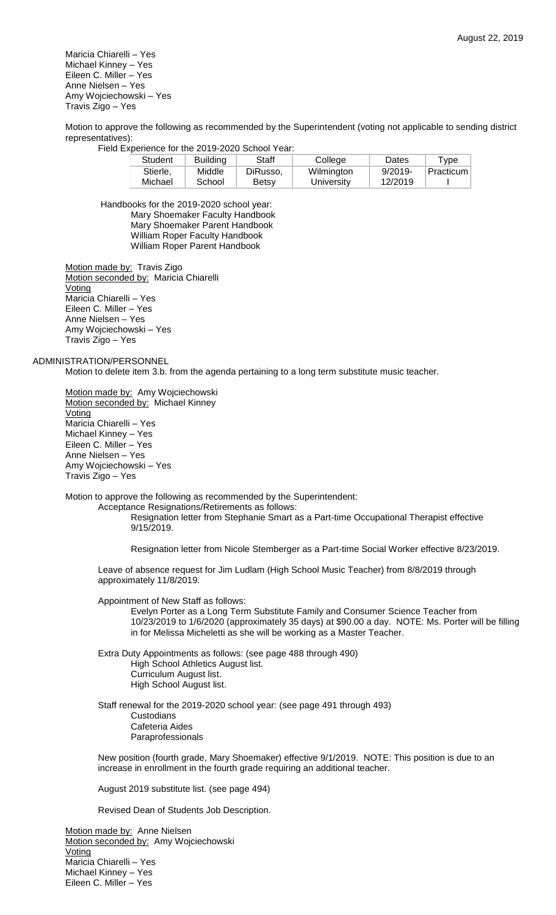Maricia Chiarelli – Yes Michael Kinney – Yes Eileen C. Miller – Yes Anne Nielsen – Yes Amy Wojciechowski – Yes Travis Zigo – Yes

Motion to approve the following as recommended by the Superintendent (voting not applicable to sending district representatives):

Field Experience for the 2019-2020 School Year:

| Student  | <b>Building</b> | Staff    | College    | Dates      | $^{\mathsf{T}}$ vpe      |
|----------|-----------------|----------|------------|------------|--------------------------|
| Stierle. | Middle          | DiRusso. | Wilmington | $9/2019 -$ | <sup>≀</sup> Practicum ⊧ |
| Michael  | School          | Betsy    | University | 12/2019    |                          |

Handbooks for the 2019-2020 school year: Mary Shoemaker Faculty Handbook Mary Shoemaker Parent Handbook William Roper Faculty Handbook William Roper Parent Handbook

Motion made by: Travis Zigo Motion seconded by: Maricia Chiarelli **Voting** Maricia Chiarelli – Yes Eileen C. Miller – Yes Anne Nielsen – Yes Amy Wojciechowski – Yes Travis Zigo – Yes

#### ADMINISTRATION/PERSONNEL

Motion to delete item 3.b. from the agenda pertaining to a long term substitute music teacher.

Motion made by: Amy Wojciechowski Motion seconded by: Michael Kinney **Voting** Maricia Chiarelli – Yes Michael Kinney – Yes Eileen C. Miller – Yes Anne Nielsen – Yes Amy Wojciechowski – Yes Travis Zigo – Yes

Motion to approve the following as recommended by the Superintendent:

Acceptance Resignations/Retirements as follows:

Resignation letter from Stephanie Smart as a Part-time Occupational Therapist effective 9/15/2019.

Resignation letter from Nicole Stemberger as a Part-time Social Worker effective 8/23/2019.

Leave of absence request for Jim Ludlam (High School Music Teacher) from 8/8/2019 through approximately 11/8/2019.

Appointment of New Staff as follows:

Evelyn Porter as a Long Term Substitute Family and Consumer Science Teacher from 10/23/2019 to 1/6/2020 (approximately 35 days) at \$90.00 a day. NOTE: Ms. Porter will be filling in for Melissa Micheletti as she will be working as a Master Teacher.

Extra Duty Appointments as follows: (see page 488 through 490) High School Athletics August list. Curriculum August list. High School August list.

Staff renewal for the 2019-2020 school year: (see page 491 through 493) **Custodians** Cafeteria Aides Paraprofessionals

New position (fourth grade, Mary Shoemaker) effective 9/1/2019. NOTE: This position is due to an increase in enrollment in the fourth grade requiring an additional teacher.

August 2019 substitute list. (see page 494)

Revised Dean of Students Job Description.

Motion made by: Anne Nielsen Motion seconded by: Amy Wojciechowski Voting Maricia Chiarelli – Yes Michael Kinney – Yes Eileen C. Miller – Yes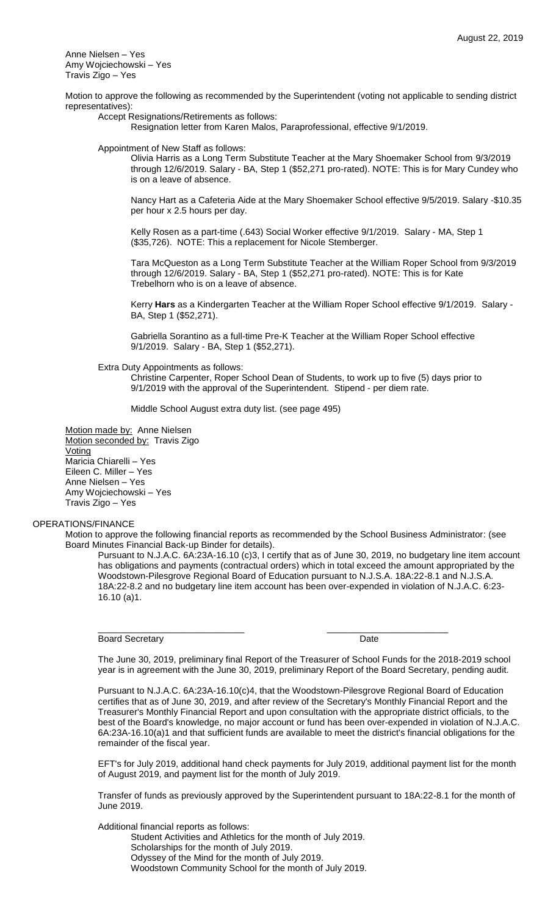Anne Nielsen – Yes Amy Wojciechowski – Yes Travis Zigo – Yes

Motion to approve the following as recommended by the Superintendent (voting not applicable to sending district representatives):

Accept Resignations/Retirements as follows:

Resignation letter from Karen Malos, Paraprofessional, effective 9/1/2019.

Appointment of New Staff as follows:

Olivia Harris as a Long Term Substitute Teacher at the Mary Shoemaker School from 9/3/2019 through 12/6/2019. Salary - BA, Step 1 (\$52,271 pro-rated). NOTE: This is for Mary Cundey who is on a leave of absence.

Nancy Hart as a Cafeteria Aide at the Mary Shoemaker School effective 9/5/2019. Salary -\$10.35 per hour x 2.5 hours per day.

Kelly Rosen as a part-time (.643) Social Worker effective 9/1/2019. Salary - MA, Step 1 (\$35,726). NOTE: This a replacement for Nicole Stemberger.

Tara McQueston as a Long Term Substitute Teacher at the William Roper School from 9/3/2019 through 12/6/2019. Salary - BA, Step 1 (\$52,271 pro-rated). NOTE: This is for Kate Trebelhorn who is on a leave of absence.

Kerry **Hars** as a Kindergarten Teacher at the William Roper School effective 9/1/2019. Salary - BA, Step 1 (\$52,271).

Gabriella Sorantino as a full-time Pre-K Teacher at the William Roper School effective 9/1/2019. Salary - BA, Step 1 (\$52,271).

Extra Duty Appointments as follows:

Christine Carpenter, Roper School Dean of Students, to work up to five (5) days prior to 9/1/2019 with the approval of the Superintendent. Stipend - per diem rate.

Middle School August extra duty list. (see page 495)

Motion made by: Anne Nielsen Motion seconded by: Travis Zigo **Voting** Maricia Chiarelli – Yes Eileen C. Miller – Yes Anne Nielsen – Yes Amy Wojciechowski – Yes Travis Zigo – Yes

# OPERATIONS/FINANCE

Motion to approve the following financial reports as recommended by the School Business Administrator: (see Board Minutes Financial Back-up Binder for details).

\_\_\_\_\_\_\_\_\_\_\_\_\_\_\_\_\_\_\_\_\_\_\_\_\_\_\_\_\_ \_\_\_\_\_\_\_\_\_\_\_\_\_\_\_\_\_\_\_\_\_\_\_\_

Pursuant to N.J.A.C. 6A:23A-16.10 (c)3, I certify that as of June 30, 2019, no budgetary line item account has obligations and payments (contractual orders) which in total exceed the amount appropriated by the Woodstown-Pilesgrove Regional Board of Education pursuant to N.J.S.A. 18A:22-8.1 and N.J.S.A. 18A:22-8.2 and no budgetary line item account has been over-expended in violation of N.J.A.C. 6:23- 16.10 (a)1.

Board Secretary **Date** 

The June 30, 2019, preliminary final Report of the Treasurer of School Funds for the 2018-2019 school year is in agreement with the June 30, 2019, preliminary Report of the Board Secretary, pending audit.

Pursuant to N.J.A.C. 6A:23A-16.10(c)4, that the Woodstown-Pilesgrove Regional Board of Education certifies that as of June 30, 2019, and after review of the Secretary's Monthly Financial Report and the Treasurer's Monthly Financial Report and upon consultation with the appropriate district officials, to the best of the Board's knowledge, no major account or fund has been over-expended in violation of N.J.A.C. 6A:23A-16.10(a)1 and that sufficient funds are available to meet the district's financial obligations for the remainder of the fiscal year.

EFT's for July 2019, additional hand check payments for July 2019, additional payment list for the month of August 2019, and payment list for the month of July 2019.

Transfer of funds as previously approved by the Superintendent pursuant to 18A:22-8.1 for the month of June 2019.

Additional financial reports as follows:

Student Activities and Athletics for the month of July 2019. Scholarships for the month of July 2019.

Odyssey of the Mind for the month of July 2019.

Woodstown Community School for the month of July 2019.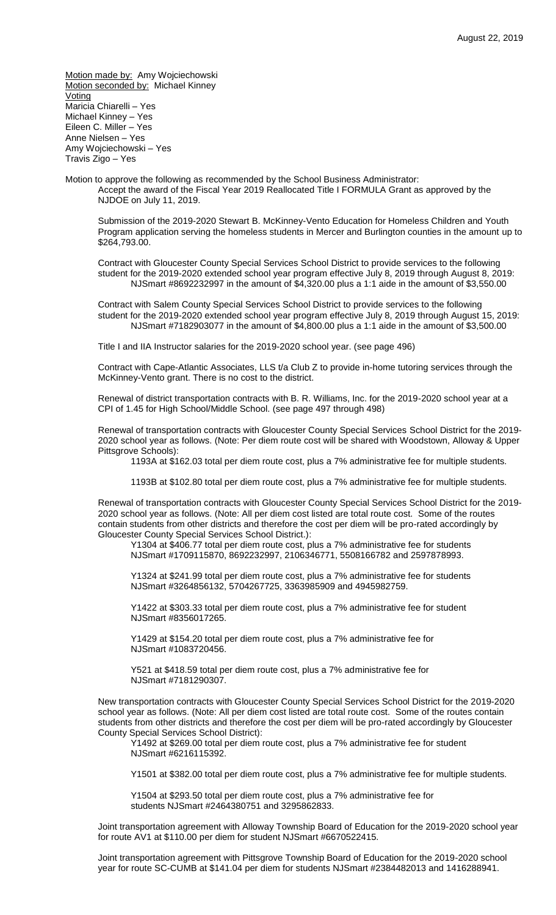Motion made by: Amy Wojciechowski Motion seconded by: Michael Kinney **Voting** Maricia Chiarelli – Yes Michael Kinney – Yes Eileen C. Miller – Yes Anne Nielsen – Yes Amy Wojciechowski – Yes Travis Zigo – Yes

Motion to approve the following as recommended by the School Business Administrator: Accept the award of the Fiscal Year 2019 Reallocated Title I FORMULA Grant as approved by the NJDOE on July 11, 2019.

Submission of the 2019-2020 Stewart B. McKinney-Vento Education for Homeless Children and Youth Program application serving the homeless students in Mercer and Burlington counties in the amount up to \$264,793.00.

Contract with Gloucester County Special Services School District to provide services to the following student for the 2019-2020 extended school year program effective July 8, 2019 through August 8, 2019: NJSmart #8692232997 in the amount of \$4,320.00 plus a 1:1 aide in the amount of \$3,550.00

Contract with Salem County Special Services School District to provide services to the following student for the 2019-2020 extended school year program effective July 8, 2019 through August 15, 2019: NJSmart #7182903077 in the amount of \$4,800.00 plus a 1:1 aide in the amount of \$3,500.00

Title I and IIA Instructor salaries for the 2019-2020 school year. (see page 496)

Contract with Cape-Atlantic Associates, LLS t/a Club Z to provide in-home tutoring services through the McKinney-Vento grant. There is no cost to the district.

Renewal of district transportation contracts with B. R. Williams, Inc. for the 2019-2020 school year at a CPI of 1.45 for High School/Middle School. (see page 497 through 498)

Renewal of transportation contracts with Gloucester County Special Services School District for the 2019- 2020 school year as follows. (Note: Per diem route cost will be shared with Woodstown, Alloway & Upper Pittsgrove Schools):

1193A at \$162.03 total per diem route cost, plus a 7% administrative fee for multiple students.

1193B at \$102.80 total per diem route cost, plus a 7% administrative fee for multiple students.

Renewal of transportation contracts with Gloucester County Special Services School District for the 2019- 2020 school year as follows. (Note: All per diem cost listed are total route cost. Some of the routes contain students from other districts and therefore the cost per diem will be pro-rated accordingly by Gloucester County Special Services School District.):

Y1304 at \$406.77 total per diem route cost, plus a 7% administrative fee for students NJSmart #1709115870, 8692232997, 2106346771, 5508166782 and 2597878993.

Y1324 at \$241.99 total per diem route cost, plus a 7% administrative fee for students NJSmart #3264856132, 5704267725, 3363985909 and 4945982759.

Y1422 at \$303.33 total per diem route cost, plus a 7% administrative fee for student NJSmart #8356017265.

Y1429 at \$154.20 total per diem route cost, plus a 7% administrative fee for NJSmart #1083720456.

Y521 at \$418.59 total per diem route cost, plus a 7% administrative fee for NJSmart #7181290307.

New transportation contracts with Gloucester County Special Services School District for the 2019-2020 school year as follows. (Note: All per diem cost listed are total route cost. Some of the routes contain students from other districts and therefore the cost per diem will be pro-rated accordingly by Gloucester County Special Services School District):

Y1492 at \$269.00 total per diem route cost, plus a 7% administrative fee for student NJSmart #6216115392.

Y1501 at \$382.00 total per diem route cost, plus a 7% administrative fee for multiple students.

Y1504 at \$293.50 total per diem route cost, plus a 7% administrative fee for students NJSmart #2464380751 and 3295862833.

Joint transportation agreement with Alloway Township Board of Education for the 2019-2020 school year for route AV1 at \$110.00 per diem for student NJSmart #6670522415.

Joint transportation agreement with Pittsgrove Township Board of Education for the 2019-2020 school year for route SC-CUMB at \$141.04 per diem for students NJSmart #2384482013 and 1416288941.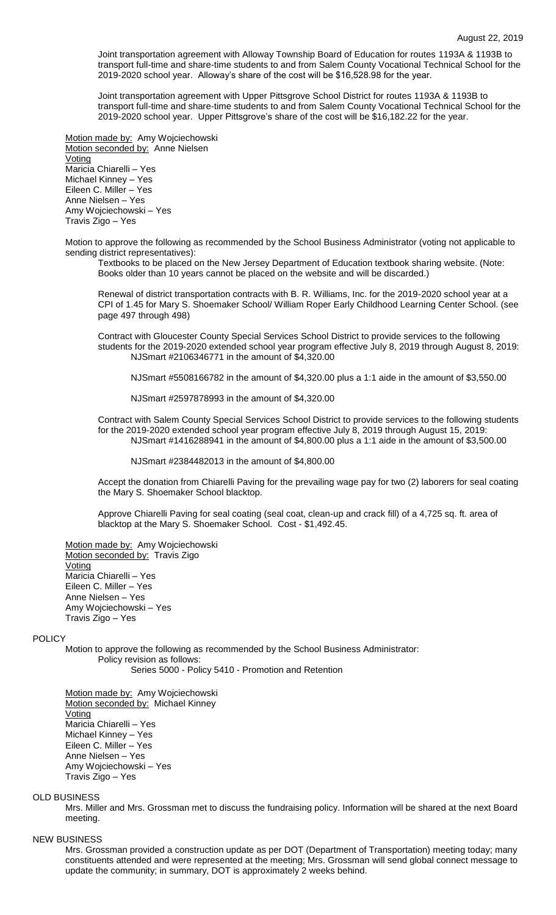Joint transportation agreement with Alloway Township Board of Education for routes 1193A & 1193B to transport full-time and share-time students to and from Salem County Vocational Technical School for the 2019-2020 school year. Alloway's share of the cost will be \$16,528.98 for the year.

Joint transportation agreement with Upper Pittsgrove School District for routes 1193A & 1193B to transport full-time and share-time students to and from Salem County Vocational Technical School for the 2019-2020 school year. Upper Pittsgrove's share of the cost will be \$16,182.22 for the year.

Motion made by: Amy Wojciechowski Motion seconded by: Anne Nielsen Voting Maricia Chiarelli – Yes Michael Kinney – Yes Eileen C. Miller – Yes Anne Nielsen – Yes Amy Wojciechowski – Yes Travis Zigo – Yes

Motion to approve the following as recommended by the School Business Administrator (voting not applicable to sending district representatives):

Textbooks to be placed on the New Jersey Department of Education textbook sharing website. (Note: Books older than 10 years cannot be placed on the website and will be discarded.)

Renewal of district transportation contracts with B. R. Williams, Inc. for the 2019-2020 school year at a CPI of 1.45 for Mary S. Shoemaker School/ William Roper Early Childhood Learning Center School. (see page 497 through 498)

Contract with Gloucester County Special Services School District to provide services to the following students for the 2019-2020 extended school year program effective July 8, 2019 through August 8, 2019: NJSmart #2106346771 in the amount of \$4,320.00

NJSmart #5508166782 in the amount of \$4,320.00 plus a 1:1 aide in the amount of \$3,550.00

NJSmart #2597878993 in the amount of \$4,320.00

Contract with Salem County Special Services School District to provide services to the following students for the 2019-2020 extended school year program effective July 8, 2019 through August 15, 2019: NJSmart #1416288941 in the amount of \$4,800.00 plus a 1:1 aide in the amount of \$3,500.00

NJSmart #2384482013 in the amount of \$4,800.00

Accept the donation from Chiarelli Paving for the prevailing wage pay for two (2) laborers for seal coating the Mary S. Shoemaker School blacktop.

Approve Chiarelli Paving for seal coating (seal coat, clean-up and crack fill) of a 4,725 sq. ft. area of blacktop at the Mary S. Shoemaker School. Cost - \$1,492.45.

Motion made by: Amy Wojciechowski Motion seconded by: Travis Zigo **Voting** Maricia Chiarelli – Yes Eileen C. Miller – Yes Anne Nielsen – Yes Amy Wojciechowski – Yes Travis Zigo – Yes

### POLICY

Motion to approve the following as recommended by the School Business Administrator: Policy revision as follows: Series 5000 - Policy 5410 - Promotion and Retention

Motion made by: Amy Wojciechowski Motion seconded by: Michael Kinney Voting Maricia Chiarelli – Yes Michael Kinney – Yes Eileen C. Miller – Yes Anne Nielsen – Yes Amy Wojciechowski – Yes Travis Zigo – Yes

#### OLD BUSINESS

Mrs. Miller and Mrs. Grossman met to discuss the fundraising policy. Information will be shared at the next Board meeting.

#### NEW BUSINESS

Mrs. Grossman provided a construction update as per DOT (Department of Transportation) meeting today; many constituents attended and were represented at the meeting; Mrs. Grossman will send global connect message to update the community; in summary, DOT is approximately 2 weeks behind.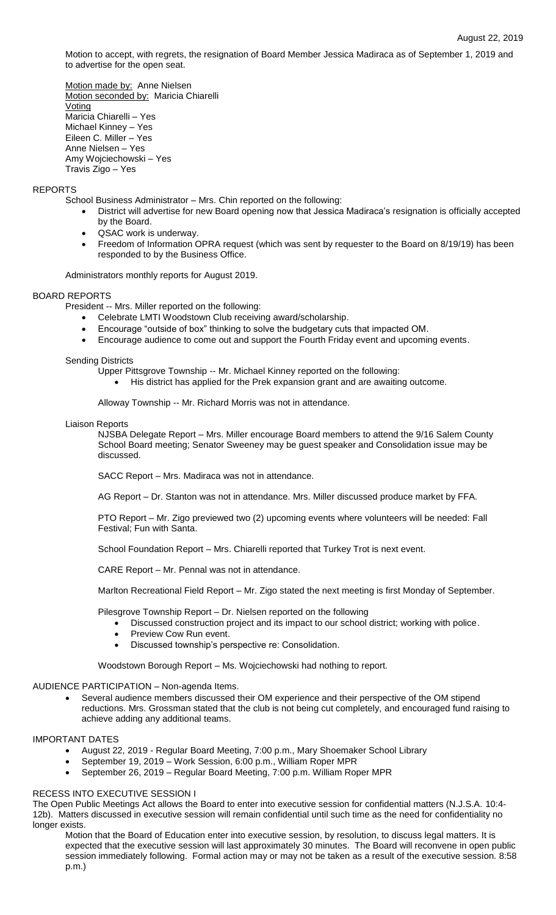Motion to accept, with regrets, the resignation of Board Member Jessica Madiraca as of September 1, 2019 and to advertise for the open seat.

Motion made by: Anne Nielsen Motion seconded by: Maricia Chiarelli Voting Maricia Chiarelli – Yes Michael Kinney – Yes Eileen C. Miller – Yes Anne Nielsen – Yes Amy Wojciechowski – Yes Travis Zigo – Yes

## REPORTS

- School Business Administrator Mrs. Chin reported on the following:
	- District will advertise for new Board opening now that Jessica Madiraca's resignation is officially accepted by the Board.
	- QSAC work is underway.
	- Freedom of Information OPRA request (which was sent by requester to the Board on 8/19/19) has been responded to by the Business Office.

Administrators monthly reports for August 2019.

### BOARD REPORTS

President -- Mrs. Miller reported on the following:

- Celebrate LMTI Woodstown Club receiving award/scholarship.
- Encourage "outside of box" thinking to solve the budgetary cuts that impacted OM.
- Encourage audience to come out and support the Fourth Friday event and upcoming events.

#### Sending Districts

Upper Pittsgrove Township -- Mr. Michael Kinney reported on the following:

His district has applied for the Prek expansion grant and are awaiting outcome.

Alloway Township -- Mr. Richard Morris was not in attendance.

#### Liaison Reports

NJSBA Delegate Report – Mrs. Miller encourage Board members to attend the 9/16 Salem County School Board meeting; Senator Sweeney may be guest speaker and Consolidation issue may be discussed.

SACC Report – Mrs. Madiraca was not in attendance.

AG Report – Dr. Stanton was not in attendance. Mrs. Miller discussed produce market by FFA.

PTO Report – Mr. Zigo previewed two (2) upcoming events where volunteers will be needed: Fall Festival; Fun with Santa.

School Foundation Report – Mrs. Chiarelli reported that Turkey Trot is next event.

CARE Report – Mr. Pennal was not in attendance.

Marlton Recreational Field Report – Mr. Zigo stated the next meeting is first Monday of September.

Pilesgrove Township Report – Dr. Nielsen reported on the following

- Discussed construction project and its impact to our school district; working with police.
- Preview Cow Run event.
- Discussed township's perspective re: Consolidation.

Woodstown Borough Report – Ms. Wojciechowski had nothing to report.

## AUDIENCE PARTICIPATION – Non-agenda Items.

 Several audience members discussed their OM experience and their perspective of the OM stipend reductions. Mrs. Grossman stated that the club is not being cut completely, and encouraged fund raising to achieve adding any additional teams.

# IMPORTANT DATES

- August 22, 2019 Regular Board Meeting, 7:00 p.m., Mary Shoemaker School Library
- September 19, 2019 Work Session, 6:00 p.m., William Roper MPR
- September 26, 2019 Regular Board Meeting, 7:00 p.m. William Roper MPR

## RECESS INTO EXECUTIVE SESSION I

The Open Public Meetings Act allows the Board to enter into executive session for confidential matters (N.J.S.A. 10:4- 12b). Matters discussed in executive session will remain confidential until such time as the need for confidentiality no longer exists.

Motion that the Board of Education enter into executive session, by resolution, to discuss legal matters. It is expected that the executive session will last approximately 30 minutes. The Board will reconvene in open public session immediately following. Formal action may or may not be taken as a result of the executive session. 8:58 p.m.)